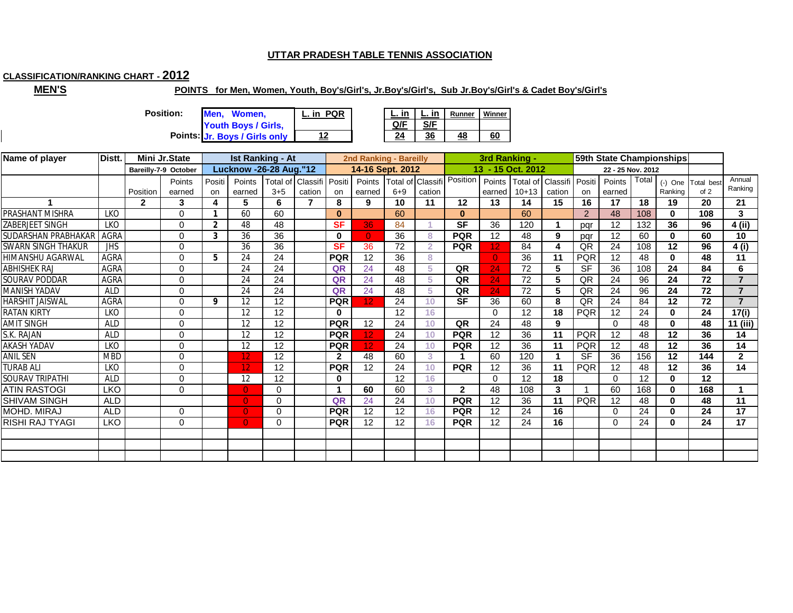# **CLASSIFICATION/RANKING CHART - 2012**

**MEN'S**

#### **POINTS for Men, Women, Youth, Boy's/Girl's, Jr.Boy's/Girl's, Sub Jr.Boy's/Girl's & Cadet Boy's/Girl's**

**Points: 24 36 48 60 Jr. Boys / Girls only 12 Men, Women, Youth Boys / Girls, Position: L. in PQR**

|  | Runner | <u>Vinner</u> |
|--|--------|---------------|
|  |        |               |
|  |        |               |

| Name of player         | Distt.      |              | Mini Jr.State        |                | <b>Ist Ranking - At</b>        |          |                 |              | 2nd Ranking - Bareilly |         |                   |                | 3rd Ranking -     |                   |                            |            | 59th State Championships |       |              |                    |                |
|------------------------|-------------|--------------|----------------------|----------------|--------------------------------|----------|-----------------|--------------|------------------------|---------|-------------------|----------------|-------------------|-------------------|----------------------------|------------|--------------------------|-------|--------------|--------------------|----------------|
|                        |             |              | Bareilly-7-9 October |                | <b>Lucknow -26-28 Aug. "12</b> |          |                 |              | 14-16 Sept. 2012       |         |                   |                |                   | 13 - 15 Oct. 2012 |                            |            | 22 - 25 Nov. 2012        |       |              |                    |                |
|                        |             |              | Points               | Positi         | Points                         | Total of | Classifi Positi |              | Points                 |         | Total of Classifi | Position       | Points            |                   | Total of Classifi   Positi |            | Points                   | Total |              | (-) One Total best | Annual         |
|                        |             | Position     | earned               | on             | earned                         | $3 + 5$  | cation          | on           | earned                 | $6 + 9$ | cation            |                | earned            | $10+13$           | cation                     | <b>on</b>  | earned                   |       | Ranking      | of 2               | Ranking        |
|                        |             | $\mathbf{2}$ | 3                    | 4              | 5                              | 6        | 7               | 8            | 9                      | 10      | 11                | 12             | 13                | 14                | 15                         | 16         | 17                       | 18    | 19           | 20                 | 21             |
| PRASHANT MISHRA        | <b>LKO</b>  |              | $\Omega$             |                | 60                             | 60       |                 | $\bf{0}$     |                        | 60      |                   | $\bf{0}$       |                   | 60                |                            | 2          | 48                       | 108   | $\bf{0}$     | 108                | 3              |
| ZABERJEET SINGH        | <b>LKO</b>  |              | 0                    | $\overline{2}$ | 48                             | 48       |                 | <b>SF</b>    | 36                     | 84      |                   | <b>SF</b>      | 36                | 120               |                            | pqr        | 12                       | 132   | 36           | 96                 | $4$ (ii)       |
| SUDARSHAN PRABHAKAR    | <b>AGRA</b> |              | $\Omega$             | 3              | 36                             | 36       |                 | 0            | $\Omega$               | 36      | 8                 | <b>PQR</b>     | $12 \overline{ }$ | 48                | 9                          | pqr        | 12                       | 60    | $\mathbf{0}$ | 60                 | 10             |
| SWARN SINGH THAKUR     | <b>JHS</b>  |              | $\Omega$             |                | 36                             | 36       |                 | <b>SF</b>    | 36                     | 72      | $\overline{2}$    | <b>PQR</b>     | 12                | 84                |                            | QR         | 24                       | 108   | 12           | 96                 | 4(i)           |
| HIMANSHU AGARWAL       | <b>AGRA</b> |              | $\Omega$             | 5              | 24                             | 24       |                 | <b>PQR</b>   | 12                     | 36      | 8                 |                | $\Omega$          | 36                | 11                         | <b>PQR</b> | 12                       | 48    | $\bf{0}$     | 48                 | 11             |
| <b>ABHISHEK RAJ</b>    | AGRA        |              | $\Omega$             |                | 24                             | 24       |                 | QR           | 24                     | 48      | 5                 | QR             | 24                | 72                | 5                          | <b>SF</b>  | 36                       | 108   | 24           | 84                 | 6              |
| SOURAV PODDAR          | <b>AGRA</b> |              | $\Omega$             |                | 24                             | 24       |                 | QR           | 24                     | 48      | 5                 | QR             | 24                | 72                | 5                          | QR         | 24                       | 96    | 24           | 72                 | $\overline{z}$ |
| <b>MANISH YADAV</b>    | <b>ALD</b>  |              | $\Omega$             |                | 24                             | 24       |                 | QR           | 24                     | 48      | 5                 | QR             | 24                | 72                | 5                          | QR         | 24                       | 96    | 24           | 72                 | $\overline{7}$ |
| <b>HARSHIT JAISWAL</b> | <b>AGRA</b> |              | $\Omega$             | 9              | 12                             | 12       |                 | <b>PQR</b>   | 12 <sub>2</sub>        | 24      | 10                | <b>SF</b>      | 36                | 60                | 8                          | QR         | 24                       | 84    | 12           | 72                 | $\overline{7}$ |
| <b>RATAN KIRTY</b>     | <b>LKO</b>  |              | $\Omega$             |                | 12                             | 12       |                 | 0            |                        | 12      | 16                |                | $\Omega$          | 12                | 18                         | <b>PQR</b> | 12                       | 24    | $\mathbf 0$  | 24                 | 17(i)          |
| <b>AMIT SINGH</b>      | <b>ALD</b>  |              | $\Omega$             |                | 12                             | 12       |                 | <b>PQR</b>   | 12                     | 24      | 10                | QR             | 24                | 48                | 9                          |            | $\Omega$                 | 48    | $\bf{0}$     | 48                 | 11 (iii)       |
| S.K. RAJAN             | <b>ALD</b>  |              | $\Omega$             |                | 12                             | 12       |                 | <b>PQR</b>   | 12.                    | 24      | 10                | <b>PQR</b>     | 12                | 36                | 11                         | <b>PQR</b> | 12                       | 48    | 12           | 36                 | 14             |
| AKASH YADAV            | LKO         |              | 0                    |                | 12                             | 12       |                 | <b>PQR</b>   | 12 <sub>2</sub>        | 24      | 10                | <b>PQR</b>     | 12                | 36                | 11                         | <b>PQR</b> | 12                       | 48    | 12           | 36                 | 14             |
| <b>ANIL SEN</b>        | <b>MBD</b>  |              | $\Omega$             |                | 12                             | 12       |                 | $\mathbf{2}$ | 48                     | 60      | 3                 |                | 60                | 120               |                            | <b>SF</b>  | 36                       | 156   | 12           | 144                | $\mathbf{2}$   |
| <b>TURAB ALI</b>       | <b>LKO</b>  |              | $\Omega$             |                | 12                             | 12       |                 | <b>PQR</b>   | 12                     | 24      | 10                | <b>PQR</b>     | 12                | 36                | 11                         | <b>PQR</b> | 12                       | 48    | 12           | 36                 | 14             |
| SOURAV TRIPATHI        | <b>ALD</b>  |              | $\Omega$             |                | 12                             | 12       |                 | 0            |                        | 12      | 16                |                | $\Omega$          | 12                | 18                         |            | $\Omega$                 | 12    | $\mathbf 0$  | 12                 |                |
| <b>ATIN RASTOGI</b>    | <b>LKO</b>  |              | $\Omega$             |                | $\mathbf{0}$                   | $\Omega$ |                 | 1            | 60                     | 60      | 3                 | $\overline{2}$ | 48                | 108               | 3                          |            | 60                       | 168   | $\mathbf{0}$ | 168                |                |
| <b>SHIVAM SINGH</b>    | <b>ALD</b>  |              |                      |                | $\overline{0}$                 | $\Omega$ |                 | QR           | 24                     | 24      | 10                | <b>PQR</b>     | 12                | 36                | 11                         | <b>PQR</b> | 12                       | 48    | $\mathbf{0}$ | 48                 | 11             |
| MOHD. MIRAJ            | <b>ALD</b>  |              | 0                    |                | $\overline{0}$                 | 0        |                 | <b>PQR</b>   | 12                     | 12      | 16                | <b>PQR</b>     | 12                | 24                | 16                         |            | $\Omega$                 | 24    | $\bf{0}$     | 24                 | 17             |
| <b>RISHI RAJ TYAGI</b> | <b>LKO</b>  |              | 0                    |                | $\mathbf{0}$                   | $\Omega$ |                 | <b>PQR</b>   | 12                     | 12      | 16                | <b>PQR</b>     | 12                | 24                | 16                         |            | $\Omega$                 | 24    | $\mathbf{0}$ | 24                 | 17             |
|                        |             |              |                      |                |                                |          |                 |              |                        |         |                   |                |                   |                   |                            |            |                          |       |              |                    |                |
|                        |             |              |                      |                |                                |          |                 |              |                        |         |                   |                |                   |                   |                            |            |                          |       |              |                    |                |
|                        |             |              |                      |                |                                |          |                 |              |                        |         |                   |                |                   |                   |                            |            |                          |       |              |                    |                |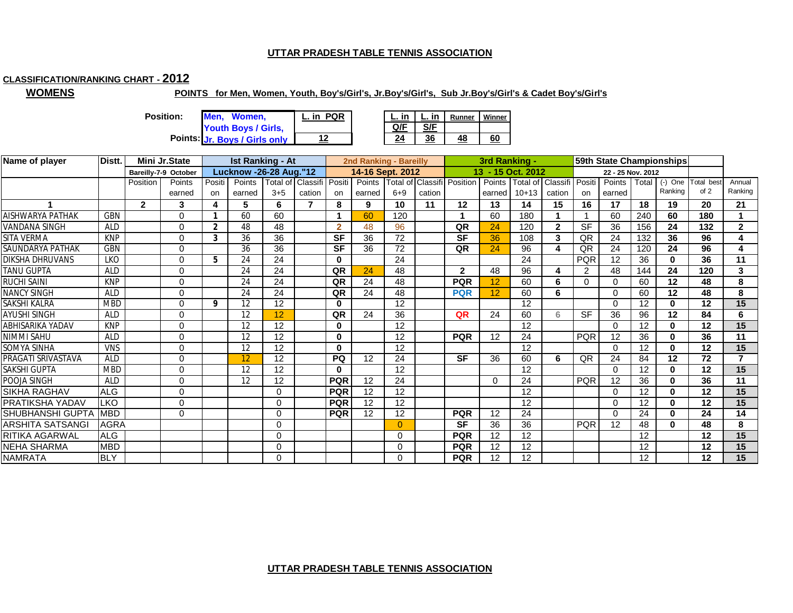# **CLASSIFICATION/RANKING CHART - 2012**

**WOMENS**

#### **POINTS for Men, Women, Youth, Boy's/Girl's, Jr.Boy's/Girl's, Sub Jr.Boy's/Girl's & Cadet Boy's/Girl's**

**Position: Men, Women, Youth Boys / Girls,** 

| on: | Men, Women,                                | <b>PQR</b><br>L. in |     | in  | Runner | Winner |
|-----|--------------------------------------------|---------------------|-----|-----|--------|--------|
|     | Youth Boys / Girls,                        |                     | Q/F | S/F |        |        |
|     | Points: <mark>Jr. Boys / Girls only</mark> |                     | 24  | 36  | 48     | 60     |

| Name of player          | Distt.      |              | Mini Jr.State        |                | <b>Ist Ranking - At</b>       |                          |        |              | 2nd Ranking - Bareilly |          |        |                            | 3rd Ranking - |                   |              |               |                   |       | 59th State Championships |                    |              |
|-------------------------|-------------|--------------|----------------------|----------------|-------------------------------|--------------------------|--------|--------------|------------------------|----------|--------|----------------------------|---------------|-------------------|--------------|---------------|-------------------|-------|--------------------------|--------------------|--------------|
|                         |             |              | Bareilly-7-9 October |                | <b>Lucknow -26-28 Aug."12</b> |                          |        |              | 14-16 Sept. 2012       |          |        |                            |               | 13 - 15 Oct. 2012 |              |               | 22 - 25 Nov. 2012 |       |                          |                    |              |
|                         |             | Position     | Points               | Positi         | Points                        | Total of Classifi Positi |        |              | Points                 |          |        | Total of Classifi Position | Points        | Total of          | Classifi     | <b>Positi</b> | Points            | Total |                          | (-) One Total best | Annual       |
|                         |             |              | earned               | on             | earned                        | $3 + 5$                  | cation | on           | earned                 | $6 + 9$  | cation |                            | earned        | $10+13$           | cation       | on            | earned            |       | Ranking                  | of $2$             | Ranking      |
|                         |             | $\mathbf{2}$ | 3                    | 4              | 5.                            | 6                        |        | 8            | 9                      | 10       | 11     | 12                         | 13            | 14                | 15           | 16            | 17                | 18    | 19                       | 20                 | 21           |
| <b>AISHWARYA PATHAK</b> | <b>GBN</b>  |              | $\Omega$             |                | 60                            | 60                       |        | 1            | 60                     | 120      |        |                            | 60            | 180               |              |               | 60                | 240   | 60                       | 180                |              |
| <b>VANDANA SINGH</b>    | <b>ALD</b>  |              | $\Omega$             | $\overline{2}$ | 48                            | 48                       |        | $\mathbf{2}$ | 48                     | 96       |        | QR                         | 24            | 120               | $\mathbf{2}$ | <b>SF</b>     | 36                | 156   | 24                       | 132                | $\mathbf{2}$ |
| <b>SITA VERMA</b>       | <b>KNP</b>  |              | $\Omega$             | 3              | 36                            | 36                       |        | <b>SF</b>    | 36                     | 72       |        | <b>SF</b>                  | 36            | 108               | 3            | QR            | 24                | 132   | 36                       | 96                 | 4            |
| <b>SAUNDARYA PATHAK</b> | <b>GBN</b>  |              | O                    |                | 36                            | 36                       |        | <b>SF</b>    | 36                     | 72       |        | QR                         | 24            | 96                | 4            | QR            | 24                | 120   | 24                       | 96                 | 4            |
| <b>DIKSHA DHRUVANS</b>  | <b>LKO</b>  |              | $\Omega$             | 5              | 24                            | 24                       |        | 0            |                        | 24       |        |                            |               | 24                |              | <b>PQR</b>    | 12                | 36    | $\mathbf{0}$             | 36                 | 11           |
| <b>TANU GUPTA</b>       | <b>ALD</b>  |              | $\Omega$             |                | 24                            | 24                       |        | QR           | 24                     | 48       |        | $\overline{2}$             | 48            | 96                |              | 2             | 48                | 144   | 24                       | 120                | 3            |
| <b>RUCHI SAINI</b>      | <b>KNP</b>  |              | 0                    |                | 24                            | 24                       |        | QR           | 24                     | 48       |        | <b>PQR</b>                 | 12            | 60                | 6            | 0             | $\Omega$          | 60    | 12                       | 48                 | 8            |
| <b>NANCY SINGH</b>      | <b>ALD</b>  |              | $\Omega$             |                | 24                            | 24                       |        | QR           | 24                     | 48       |        | <b>PQR</b>                 | 12            | 60                | 6            |               | $\Omega$          | 60    | 12                       | 48                 | 8            |
| SAKSHI KALRA            | <b>MBD</b>  |              | $\Omega$             | 9              | 12                            | 12                       |        | 0            |                        | 12       |        |                            |               | 12                |              |               | $\Omega$          | 12    | 0                        | 12                 | 15           |
| <b>AYUSHI SINGH</b>     | <b>ALD</b>  |              | 0                    |                | 12                            | 12                       |        | QR           | 24                     | 36       |        | QR                         | 24            | 60                | 6            | <b>SF</b>     | 36                | 96    | 12                       | 84                 | 6            |
| <b>ABHISARIKA YADAV</b> | <b>KNP</b>  |              | 0                    |                | 12                            | 12                       |        | 0            |                        | 12       |        |                            |               | 12                |              |               | $\Omega$          | 12    | 0                        | $12 \,$            | 15           |
| <b>NIMMI SAHU</b>       | <b>ALD</b>  |              | $\Omega$             |                | 12                            | 12                       |        | 0            |                        | 12       |        | <b>PQR</b>                 | 12            | 24                |              | <b>PQR</b>    | 12                | 36    | 0                        | 36                 | 11           |
| <b>SOMYA SINHA</b>      | <b>VNS</b>  |              | 0                    |                | 12                            | 12                       |        | 0            |                        | 12       |        |                            |               | 12                |              |               | $\Omega$          | 12    | $\mathbf{0}$             | 12                 | 15           |
| PRAGATI SRIVASTAVA      | <b>ALD</b>  |              | 0                    |                | 12                            | 12                       |        | <b>PQ</b>    | 12                     | 24       |        | <b>SF</b>                  | 36            | 60                | 6            | QR            | 24                | 84    | 12                       | 72                 | 7            |
| <b>SAKSHI GUPTA</b>     | <b>MBD</b>  |              | $\Omega$             |                | 12                            | 12                       |        | 0            |                        | 12       |        |                            |               | 12                |              |               | $\Omega$          | 12    | 0                        | 12                 | 15           |
| POOJA SINGH             | <b>ALD</b>  |              | 0                    |                | 12                            | 12                       |        | <b>PQR</b>   | 12                     | 24       |        |                            | $\Omega$      | 24                |              | <b>PQR</b>    | 12                | 36    | $\mathbf{0}$             | 36                 | 11           |
| <b>SIKHA RAGHAV</b>     | <b>ALG</b>  |              | $\Omega$             |                |                               | $\Omega$                 |        | <b>PQR</b>   | 12                     | 12       |        |                            |               | 12                |              |               | $\Omega$          | 12    | $\bf{0}$                 | 12                 | 15           |
| PRATIKSHA YADAV         | <b>LKO</b>  |              | $\Omega$             |                |                               | $\Omega$                 |        | <b>PQR</b>   | 12                     | 12       |        |                            |               | 12                |              |               | $\Omega$          | 12    | $\mathbf{0}$             | 12                 | 15           |
| <b>SHUBHANSHI GUPTA</b> | <b>MBD</b>  |              | $\Omega$             |                |                               | $\Omega$                 |        | <b>PQR</b>   | 12                     | 12       |        | <b>PQR</b>                 | 12            | 24                |              |               | $\Omega$          | 24    | $\mathbf{0}$             | 24                 | 14           |
| <b>ARSHITA SATSANGI</b> | <b>AGRA</b> |              |                      |                |                               | $\Omega$                 |        |              |                        | $\Omega$ |        | <b>SF</b>                  | 36            | 36                |              | <b>PQR</b>    | 12                | 48    | $\mathbf{0}$             | 48                 | 8            |
| <b>RITIKA AGARWAL</b>   | <b>ALG</b>  |              |                      |                |                               | $\Omega$                 |        |              |                        | $\Omega$ |        | <b>PQR</b>                 | 12            | 12                |              |               |                   | 12    |                          | 12                 | 15           |
| <b>NEHA SHARMA</b>      | <b>MBD</b>  |              |                      |                |                               | 0                        |        |              |                        | 0        |        | <b>PQR</b>                 | 12            | 12                |              |               |                   | 12    |                          | 12                 | 15           |
| <b>NAMRATA</b>          | <b>BLY</b>  |              |                      |                |                               | $\Omega$                 |        |              |                        | 0        |        | <b>PQR</b>                 | 12            | 12                |              |               |                   | 12    |                          | 12                 | 15           |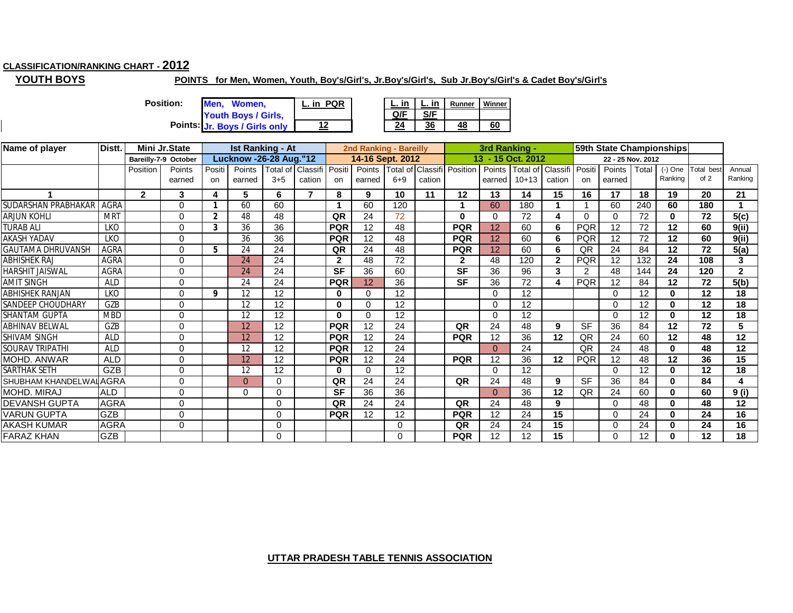## **CLASSIFICATION/RANKING CHART - 2012**

**YOUTH BOYS**

## **POINTS for Men, Women, Youth, Boy's/Girl's, Jr.Boy's/Girl's, Sub Jr.Boy's/Girl's & Cadet Boy's/Girl's**

**Position: Men, Women, Youth Boys / Girls,** 

**Jr. Boys / Girls only**

**12**

**L. in L. in Runner Winner Q/F S/F Points: 24 36 48 60 L. in PQR**

| Name of player         | Distt.      |                | Mini Jr.State        |                | <b>Ist Ranking - At</b>       |          |                          |              | 2nd Ranking - Bareilly |          |        |                            | 3rd Ranking - |                   |                          |            |                   |       | 59th State Championships |           |              |
|------------------------|-------------|----------------|----------------------|----------------|-------------------------------|----------|--------------------------|--------------|------------------------|----------|--------|----------------------------|---------------|-------------------|--------------------------|------------|-------------------|-------|--------------------------|-----------|--------------|
|                        |             |                | Bareilly-7-9 October |                | <b>Lucknow -26-28 Aug."12</b> |          |                          |              | 14-16 Sept. 2012       |          |        |                            |               | 13 - 15 Oct. 2012 |                          |            | 22 - 25 Nov. 2012 |       |                          |           |              |
|                        |             | Position       | Points               | Positi         | Points                        |          | Total of Classifi Positi |              | Points                 |          |        | Total of Classifi Position | Points        |                   | Total of Classifi Positi |            | Points            | Total | $(-)$ One                | Total bes | Annual       |
|                        |             |                | earned               | on             | earned                        | $3 + 5$  | cation                   | on           | earned                 | $6 + 9$  | cation |                            | earned        | $10+13$           | cation                   | <b>on</b>  | earned            |       | Ranking                  | of 2      | Ranking      |
|                        |             | $\overline{2}$ | 3                    | 4              | 5                             | 6        |                          | 8            | 9                      | 10       | 11     | 12                         | 13            | 14                | 15                       | 16         | 17                | 18    | 19                       | 20        | 21           |
| SUDARSHAN PRABHAKAR    | AGRA        |                | $\Omega$             | 1              | 60                            | 60       |                          |              | 60                     | 120      |        |                            | 60            | 180               |                          |            | 60                | 240   | 60                       | 180       |              |
| ARJUN KOHLI            | <b>MRT</b>  |                | $\Omega$             | $\overline{2}$ | 48                            | 48       |                          | QR           | 24                     | 72       |        | $\bf{0}$                   | ∩             | 72                |                          | $\Omega$   | 0                 | 72    | $\bf{0}$                 | 72        | 5(c)         |
| TURAB ALI              | <b>LKO</b>  |                | $\Omega$             | 3              | 36                            | 36       |                          | <b>PQR</b>   | 12                     | 48       |        | <b>PQR</b>                 | 12            | 60                | 6                        | <b>PQR</b> | 12                | 72    | 12                       | 60        | 9(ii)        |
| <b>AKASH YADAV</b>     | <b>LKO</b>  |                | $\Omega$             |                | 36                            | 36       |                          | <b>PQR</b>   | 12                     | 48       |        | <b>PQR</b>                 | 12            | 60                | 6                        | <b>PQR</b> | 12                | 72    | 12                       | 60        | 9(ii)        |
| GAUTAMA DHRUVANSH      | AGRA        |                | $\Omega$             | 5              | 24                            | 24       |                          | QR           | 24                     | 48       |        | <b>PQR</b>                 | 12            | 60                | 6                        | QR         | 24                | 84    | 12                       | 72        | 5(a)         |
| <b>ABHISHEK RA.</b>    | AGRA        |                | $\Omega$             |                | 24                            | 24       |                          | $\mathbf{2}$ | 48                     | 72       |        | $\mathbf{2}$               | 48            | 120               | $\mathbf{2}$             | <b>PQR</b> | 12                | 132   | 24                       | 108       | 3            |
| HARSHIT JAISWAL        | AGRA        |                | $\Omega$             |                | 24                            | 24       |                          | <b>SF</b>    | 36                     | 60       |        | <b>SF</b>                  | 36            | 96                | 3                        | 2          | 48                | 144   | 24                       | 120       | $\mathbf{2}$ |
| <b>AMIT SINGH</b>      | <b>ALD</b>  |                | $\Omega$             |                | 24                            | 24       |                          | <b>PQR</b>   | 12                     | 36       |        | <b>SF</b>                  | 36            | 72                | 4                        | <b>PQR</b> | 12                | 84    | 12                       | 72        | 5(b)         |
| ABHISHEK RANJAN        | LKO         |                | $\Omega$             | 9              | 12                            | 12       |                          | $\bf{0}$     | $\Omega$               | 12       |        |                            | $\Omega$      | 12                |                          |            | $\Omega$          | 12    | $\bf{0}$                 | 12        | 18           |
| SANDEEP CHOUDHARY      | GZB         |                | $\Omega$             |                | 12                            | 12       |                          | 0            | 0                      | 12       |        |                            | $\Omega$      | 12                |                          |            | $\Omega$          | 12    | 0                        | 12        | 18           |
| <b>SHANTAM GUPTA</b>   | <b>MBD</b>  |                | $\Omega$             |                | 12                            | 12       |                          | $\Omega$     | $\Omega$               | 12       |        |                            | $\Omega$      | 12                |                          |            | $\Omega$          | 12    | $\bf{0}$                 | 12        | 18           |
| <b>ABHINAV BELWAL</b>  | GZB         |                | $\Omega$             |                | 12                            | 12       |                          | <b>PQR</b>   | 12                     | 24       |        | QR                         | 24            | 48                | 9                        | <b>SF</b>  | $\overline{36}$   | 84    | 12                       | 72        | 5            |
| SHIVAM SINGH           | <b>ALD</b>  |                | $\Omega$             |                | 12                            | 12       |                          | <b>PQR</b>   | 12                     | 24       |        | <b>PQR</b>                 | 12            | 36                | 12                       | QR         | 24                | 60    | 12                       | 48        | 12           |
| SOURAV TRIPATHI        | <b>ALD</b>  |                | $\Omega$             |                | 12                            | 12       |                          | <b>PQR</b>   | 12                     | 24       |        |                            | $\Omega$      | 24                |                          | QR         | 24                | 48    | $\bf{0}$                 | 48        | 12           |
| MOHD. ANWAR            | <b>ALD</b>  |                | $\Omega$             |                | 12                            | 12       |                          | <b>PQR</b>   | 12                     | 24       |        | <b>PQR</b>                 | 12            | 36                | $12 \,$                  | <b>PQR</b> | 12                | 48    | 12                       | 36        | 15           |
| SARTHAK SETH           | <b>GZB</b>  |                | $\Omega$             |                | 12                            | 12       |                          | $\bf{0}$     | $\Omega$               | 12       |        |                            | $\Omega$      | 12                |                          |            | $\Omega$          | 12    | $\bf{0}$                 | 12        | 18           |
| SHUBHAM KHANDELWALAGRA |             |                | $\Omega$             |                | $\Omega$                      | $\Omega$ |                          | QR           | 24                     | 24       |        | QR                         | 24            | 48                | 9                        | <b>SF</b>  | 36                | 84    | $\mathbf{0}$             | 84        | 4            |
| MOHD. MIRAJ            | <b>ALD</b>  |                | $\Omega$             |                | 0                             | $\Omega$ |                          | <b>SF</b>    | 36                     | 36       |        |                            | $\Omega$      | 36                | $12 \,$                  | QR         | 24                | 60    | $\mathbf{0}$             | 60        | 9(i)         |
| <b>DEVANSH GUPTA</b>   | <b>AGRA</b> |                | $\Omega$             |                |                               | $\Omega$ |                          | QR           | 24                     | 24       |        | QR                         | 24            | 48                | 9                        |            | $\Omega$          | 48    | $\bf{0}$                 | 48        | 12           |
| <b>VARUN GUPTA</b>     | <b>GZB</b>  |                | $\Omega$             |                |                               | $\Omega$ |                          | <b>PQR</b>   | 12                     | 12       |        | <b>PQR</b>                 | 12            | 24                | 15                       |            | 0                 | 24    | $\bf{0}$                 | 24        | 16           |
| <b>AKASH KUMAR</b>     | <b>AGRA</b> |                | $\Omega$             |                |                               | $\Omega$ |                          |              |                        | $\Omega$ |        | QR                         | 24            | 24                | 15                       |            | $\Omega$          | 24    | $\bf{0}$                 | 24        | 16           |
| <b>FARAZ KHAN</b>      | GZB         |                |                      |                |                               | $\Omega$ |                          |              |                        | O        |        | <b>PQR</b>                 | 12            | 12                | 15                       |            | $\Omega$          | 12    | 0                        | 12        | 18           |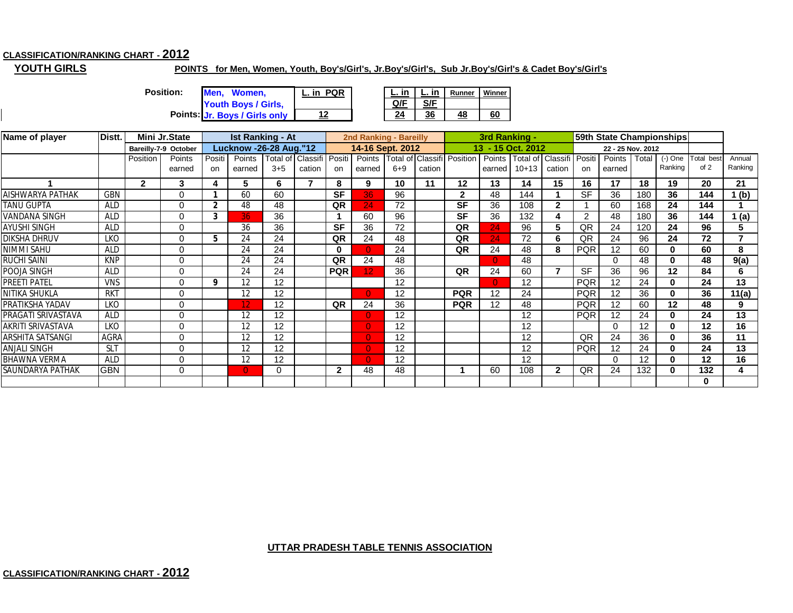## **CLASSIFICATION/RANKING CHART - 2012**

**YOUTH GIRLS**

#### **POINTS for Men, Women, Youth, Boy's/Girl's, Jr.Boy's/Girl's, Sub Jr.Boy's/Girl's & Cadet Boy's/Girl's**

**Points: 24 36 48 60 Jr. Boys / Girls only Position: Men, Women, Youth Boys / Girls, L. in PQR 12**

|  | Runner | Vinner |
|--|--------|--------|
|  |        |        |
|  |        |        |

| Name of player          | Distt.      |              | Mini Jr.State        |              | <b>Ist Ranking - At</b>       |                          |        |              | 2nd Ranking - Bareilly |         |        |                            | 3rd Ranking - |                   |                   |               | 59th State Championships |       |              |            |         |
|-------------------------|-------------|--------------|----------------------|--------------|-------------------------------|--------------------------|--------|--------------|------------------------|---------|--------|----------------------------|---------------|-------------------|-------------------|---------------|--------------------------|-------|--------------|------------|---------|
|                         |             |              | Bareilly-7-9 October |              | <b>Lucknow -26-28 Aug."12</b> |                          |        |              | 14-16 Sept. 2012       |         |        |                            |               | 13 - 15 Oct. 2012 |                   |               | 22 - 25 Nov. 2012        |       |              |            |         |
|                         |             | Position     | Points               | Positi       | Points                        | Total of Classifi Positi |        |              | Points                 |         |        | Total of Classifi Position | Points        |                   | Total of Classifi | Positi        | Points                   | Total | $(-)$ One    | Total best | Annual  |
|                         |             |              | earned               | on           | earned                        | $3 + 5$                  | cation | on           | earned                 | $6 + 9$ | cation |                            | earned        | $10 + 13$         | cation            | on            | earned                   |       | Ranking      | of 2       | Ranking |
|                         |             | $\mathbf{2}$ | 3                    | 4            | 5                             | 6                        |        | 8            | 9                      | 10      | 11     | $12 \,$                    | 13            | 14                | 15                | 16            | 17                       | 18    | 19           | 20         | 21      |
| AISHWARYA PATHAK        | <b>GBN</b>  |              | 0                    |              | 60                            | 60                       |        | <b>SF</b>    | 36                     | 96      |        | $\mathbf{2}$               | 48            | 144               |                   | <b>SF</b>     | 36                       | 180   | 36           | 144        | (b)     |
| <b>TANU GUPTA</b>       | <b>ALD</b>  |              | 0                    | $\mathbf{2}$ | 48                            | 48                       |        | QR           | 24                     | 72      |        | <b>SF</b>                  | 36            | 108               | $\mathbf{2}$      |               | 60                       | 168   | 24           | 144        |         |
| VANDANA SINGH           | <b>ALD</b>  |              |                      | 3            | 36.                           | 36                       |        |              | 60                     | 96      |        | <b>SF</b>                  | 36            | 132               |                   | $\mathcal{P}$ | 48                       | 180   | 36           | 144        | 1(a)    |
| <b>AYUSHI SINGH</b>     | <b>ALD</b>  |              | $\Omega$             |              | 36                            | 36                       |        | <b>SF</b>    | 36                     | 72      |        | QR                         | 24            | 96                | 5                 | QR            | 24                       | 120   | 24           | 96         | 5       |
| <b>DIKSHA DHRUV</b>     | <b>LKO</b>  |              | $\Omega$             | 5            | 24                            | 24                       |        | QR           | 24                     | 48      |        | QR                         | 24            | 72                | 6                 | QR            | 24                       | 96    | 24           | 72         |         |
| NIMMI SAHU              | <b>ALD</b>  |              | $\Omega$             |              | 24                            | 24                       |        | $\bf{0}$     | $\Omega$               | 24      |        | QR                         | 24            | 48                | 8                 | <b>PQR</b>    | 12                       | 60    | $\mathbf{0}$ | 60         | 8       |
| <b>RUCHI SAINI</b>      | <b>KNP</b>  |              | 0                    |              | 24                            | 24                       |        | QR           | 24                     | 48      |        |                            | $\Omega$      | 48                |                   |               | $\Omega$                 | 48    | 0            | 48         | 9(a)    |
| POOJA SINGH             | <b>ALD</b>  |              | $\Omega$             |              | 24                            | 24                       |        | <b>PQR</b>   | 12 <sub>1</sub>        | 36      |        | QR                         | 24            | 60                |                   | <b>SF</b>     | 36                       | 96    | 12           | 84         | 6       |
| <b>PREETI PATEL</b>     | <b>VNS</b>  |              | $\Omega$             | 9            | 12                            | 12                       |        |              |                        | 12      |        |                            | $\Omega$      | 12                |                   | <b>PQR</b>    | 12                       | 24    | 0            | 24         | 13      |
| NITIKA SHUKLA           | <b>RKT</b>  |              |                      |              | 12                            | 12                       |        |              | $\Omega$               | 12      |        | <b>PQR</b>                 | 12            | 24                |                   | <b>PQR</b>    | 12                       | 36    | $\bf{0}$     | 36         | 11(a)   |
| PRATIKSHA YADAV         | LKO         |              |                      |              | 12                            | 12                       |        | QR           | 24                     | 36      |        | <b>PQR</b>                 | 12            | 48                |                   | <b>PQR</b>    | 12                       | 60    | 12           | 48         | 9       |
| PRAGATI SRIVASTAVA      | <b>ALD</b>  |              | $\Omega$             |              | 12                            | 12                       |        |              | $\Omega$               | 12      |        |                            |               | 12                |                   | <b>PQR</b>    | 12                       | 24    | 0            | 24         | 13      |
| AKRITI SRIVASTAVA       | <b>LKO</b>  |              |                      |              | 12                            | 12                       |        |              | $\Omega$               | 12      |        |                            |               | 12                |                   |               | ∩                        | 12    | 0            | 12         | 16      |
| ARSHITA SATSANGI        | <b>AGRA</b> |              | $\Omega$             |              | 12                            | 12                       |        |              | $\overline{0}$         | 12      |        |                            |               | 12                |                   | QR            | 24                       | 36    | 0            | 36         | 11      |
| <b>ANJALI SINGH</b>     | <b>SLT</b>  |              |                      |              | 12                            | 12                       |        |              | $\Omega$               | 12      |        |                            |               | 12                |                   | <b>PQR</b>    | 12                       | 24    | $\bf{0}$     | 24         | 13      |
| <b>BHAWNA VERMA</b>     | <b>ALD</b>  |              | ∩                    |              | 12                            | 12                       |        |              | $\Omega$               | 12      |        |                            |               | 12                |                   |               | ∩                        | 12    | $\bf{0}$     | 12         | 16      |
| <b>SAUNDARYA PATHAK</b> | <b>GBN</b>  |              | 0                    |              | $\overline{0}$                | 0                        |        | $\mathbf{2}$ | 48                     | 48      |        |                            | 60            | 108               | $\mathbf{2}$      | QR            | 24                       | 132   | 0            | 132        | 4       |
|                         |             |              |                      |              |                               |                          |        |              |                        |         |        |                            |               |                   |                   |               |                          |       |              | 0          |         |

#### **UTTAR PRADESH TABLE TENNIS ASSOCIATION**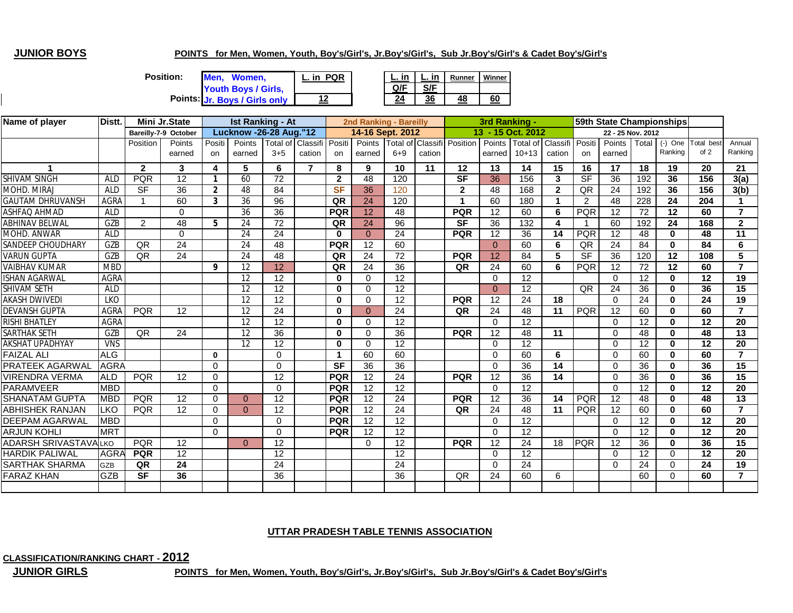## **JUNIOR BOYS**

L

#### **POINTS for Men, Women, Youth, Boy's/Girl's, Jr.Boy's/Girl's, Sub Jr.Boy's/Girl's & Cadet Boy's/Girl's**

| <b>Position:</b> | Men. Women.                   | <b>PQR</b><br>L. in |     | L. in | Runner | Winn |
|------------------|-------------------------------|---------------------|-----|-------|--------|------|
|                  | <b>Youth Boys / Girls,</b>    |                     | Q/F | S/F   |        |      |
|                  | Points: Jr. Boys / Girls only |                     | 24  | 36    | 48     | 60   |

|  | Runner | <b>Ninner</b> |
|--|--------|---------------|
|  |        |               |
|  |        |               |

| Name of player              | Distt.      |              | Mini Jr.State        |                | <b>Ist Ranking - At</b>       |                 |          |              | 2nd Ranking - Bareilly |                 |        |                                   | 3rd Ranking -   |                   |                |                | 59th State Championships |                 |               |           |                |
|-----------------------------|-------------|--------------|----------------------|----------------|-------------------------------|-----------------|----------|--------------|------------------------|-----------------|--------|-----------------------------------|-----------------|-------------------|----------------|----------------|--------------------------|-----------------|---------------|-----------|----------------|
|                             |             |              | Bareilly-7-9 October |                | <b>Lucknow -26-28 Aug."12</b> |                 |          |              | 14-16 Sept. 2012       |                 |        |                                   |                 | 13 - 15 Oct. 2012 |                |                | 22 - 25 Nov. 2012        |                 |               |           |                |
|                             |             | Position     | Points               | Positi         | Points                        | Total of        | Classifi | Positi       | Points                 |                 |        | <b>Total of Classifi Position</b> | Points          | Total of Classifi |                | Positi         | <b>Points</b>            |                 | Total (-) One | Total bes | Annual         |
|                             |             |              | earned               | on             | earned                        | $3 + 5$         | cation   | on           | earned                 | $6 + 9$         | cation |                                   | earned          | $10+13$           | cation         | on             | earned                   |                 | Ranking       | of 2      | Ranking        |
|                             |             | $\mathbf{2}$ | 3                    | 4              | 5                             | 6               | 7        | 8            | 9                      | 10              | 11     | 12                                | 13              | 14                | 15             | 16             | 17                       | 18              | 19            | 20        | 21             |
| <b>SHIVAM SINGH</b>         | <b>ALD</b>  | <b>PQR</b>   | 12                   | $\mathbf{1}$   | 60                            | 72              |          | $\mathbf{2}$ | 48                     | 120             |        | $\overline{\mathsf{SF}}$          | 36              | 156               | 3              | <b>SF</b>      | $\overline{36}$          | 192             | 36            | 156       | 3(a)           |
| MOHD. MIRAJ                 | <b>ALD</b>  | <b>SF</b>    | 36                   | $\overline{2}$ | 48                            | 84              |          | <b>SF</b>    | 36                     | 120             |        | $\mathbf{2}$                      | 48              | 168               | $\overline{2}$ | QR             | 24                       | 192             | 36            | 156       | 3(b)           |
| <b>GAUTAM DHRUVANSH</b>     | AGRA        |              | 60                   | 3              | 36                            | 96              |          | QR           | 24                     | 120             |        | 1                                 | 60              | 180               |                | $\overline{2}$ | 48                       | 228             | 24            | 204       |                |
| <b>ASHFAQ AHMAD</b>         | <b>ALD</b>  |              | $\Omega$             |                | 36                            | 36              |          | <b>PQR</b>   | 12                     | 48              |        | <b>PQR</b>                        | 12              | 60                | 6              | PQR            | 12                       | 72              | 12            | 60        | $\overline{7}$ |
| <b>ABHINAV BELWAL</b>       | GZB         | 2            | 48                   | 5              | 24                            | 72              |          | QR           | 24                     | $\overline{96}$ |        | <b>SF</b>                         | $\overline{36}$ | 132               | 4              |                | 60                       | 192             | 24            | 168       | 2 <sup>1</sup> |
| MOHD. ANWAR                 | <b>ALD</b>  |              | $\Omega$             |                | 24                            | 24              |          | $\mathbf{0}$ | $\overline{0}$         | 24              |        | <b>PQR</b>                        | 12              | 36                | 14             | <b>PQR</b>     | 12                       | 48              | 0             | 48        | 11             |
| SANDEEP CHOUDHARY           | GZB         | <b>QR</b>    | 24                   |                | 24                            | 48              |          | <b>PQR</b>   | 12                     | 60              |        |                                   | $\Omega$        | 60                | 6              | QR             | 24                       | 84              | $\mathbf{0}$  | 84        | 6              |
| <b>VARUN GUPTA</b>          | GZB         | <b>QR</b>    | 24                   |                | 24                            | 48              |          | QR           | 24                     | 72              |        | <b>PQR</b>                        | 12              | 84                | 5              | <b>SF</b>      | 36                       | 120             | 12            | 108       | 5              |
| <b>VAIBHAV KUMAR</b>        | <b>MBD</b>  |              |                      | 9              | 12                            | 12              |          | QR           | 24                     | 36              |        | QR                                | 24              | 60                | 6              | <b>PQR</b>     | 12                       | 72              | 12            | 60        | $\overline{ }$ |
| <b>ISHAN AGARWAL</b>        | AGRA        |              |                      |                | 12                            | 12              |          | $\bf{0}$     | $\Omega$               | 12              |        |                                   | $\Omega$        | $\overline{12}$   |                |                | $\Omega$                 | $\overline{12}$ | 0             | 12        | 19             |
| <b>SHIVAM SETH</b>          | <b>ALD</b>  |              |                      |                | 12                            | 12              |          | $\bf{0}$     | $\Omega$               | 12              |        |                                   | $\Omega$        | 12                |                | QR             | 24                       | 36              | $\bf{0}$      | 36        | 15             |
| <b>AKASH DWIVEDI</b>        | <b>LKO</b>  |              |                      |                | 12                            | 12              |          | $\bf{0}$     | $\Omega$               | 12              |        | <b>PQR</b>                        | 12              | 24                | 18             |                | $\Omega$                 | 24              | 0             | 24        | 19             |
| <b>DEVANSH GUPTA</b>        | AGRA        | PQR          | 12                   |                | 12                            | 24              |          | $\bf{0}$     | $\Omega$               | 24              |        | QR                                | 24              | 48                | 11             | <b>PQR</b>     | 12                       | 60              | $\bf{0}$      | 60        | $\overline{7}$ |
| <b>RISHI BHATLEY</b>        | AGRA        |              |                      |                | 12                            | 12              |          | $\mathbf 0$  | $\Omega$               | 12              |        |                                   | $\Omega$        | 12                |                |                | $\Omega$                 | 12              | $\mathbf{0}$  | 12        | 20             |
| SARTHAK SETH                | GZB         | <b>QR</b>    | 24                   |                | 12                            | 36              |          | $\mathbf 0$  | $\Omega$               | 36              |        | <b>PQR</b>                        | 12              | 48                | 11             |                | $\Omega$                 | 48              | 0             | 48        | 13             |
| <b>AKSHAT UPADHYAY</b>      | <b>VNS</b>  |              |                      |                | 12                            | 12              |          | $\bf{0}$     | $\Omega$               | 12              |        |                                   | $\Omega$        | 12                |                |                | $\Omega$                 | 12              | 0             | 12        | 20             |
| <b>FAIZAL ALI</b>           | <b>ALG</b>  |              |                      | $\mathbf{0}$   |                               | $\Omega$        |          |              | 60                     | 60              |        |                                   | $\Omega$        | 60                | 6              |                | $\Omega$                 | 60              | $\mathbf{0}$  | 60        | $\overline{ }$ |
| <b>PRATEEK AGARWAL</b>      | <b>AGRA</b> |              |                      | $\Omega$       |                               | $\Omega$        |          | <b>SF</b>    | 36                     | 36              |        |                                   | $\Omega$        | 36                | 14             |                | $\Omega$                 | 36              | $\mathbf{0}$  | 36        | 15             |
| <b>VIRENDRA VERMA</b>       | <b>ALD</b>  | <b>PQR</b>   | 12                   | $\Omega$       |                               | $\overline{12}$ |          | <b>PQR</b>   | 12                     | 24              |        | <b>PQR</b>                        | 12              | $\overline{36}$   | 14             |                | $\Omega$                 | 36              | $\mathbf{0}$  | 36        | 15             |
| <b>PARAMVEER</b>            | <b>MBD</b>  |              |                      | $\Omega$       |                               | $\Omega$        |          | <b>PQR</b>   | 12                     | 12              |        |                                   | $\Omega$        | 12                |                |                | $\Omega$                 | 12              | 0             | 12        | 20             |
| <b>SHANATAM GUPTA</b>       | <b>MBD</b>  | <b>PQR</b>   | $\overline{12}$      | $\Omega$       | $\Omega$                      | $\overline{12}$ |          | <b>PQR</b>   | $\overline{12}$        | 24              |        | <b>PQR</b>                        | $\overline{12}$ | 36                | 14             | <b>PQR</b>     | $\overline{12}$          | 48              | $\mathbf{0}$  | 48        | 13             |
| <b>ABHISHEK RANJAN</b>      | <b>LKO</b>  | <b>PQR</b>   | 12                   | $\Omega$       | $\Omega$                      | 12              |          | <b>PQR</b>   | 12                     | 24              |        | QR                                | 24              | 48                | 11             | <b>PQR</b>     | 12                       | 60              | $\mathbf{0}$  | 60        | $\overline{7}$ |
| DEEPAM AGARWAL              | <b>MBD</b>  |              |                      | $\Omega$       |                               | $\Omega$        |          | <b>PQR</b>   | 12                     | 12              |        |                                   | $\Omega$        | 12                |                |                | $\Omega$                 | $\overline{12}$ | 0             | 12        | 20             |
| <b>ARJUN KOHLI</b>          | <b>MRT</b>  |              |                      | $\Omega$       |                               | $\Omega$        |          | <b>PQR</b>   | 12                     | 12              |        |                                   | $\Omega$        | 12                |                |                | $\Omega$                 | 12              | 0             | 12        | 20             |
| <b>ADARSH SRIVASTAVALKO</b> |             | <b>PQR</b>   | 12                   |                | $\Omega$                      | 12              |          |              | $\Omega$               | 12              |        | <b>PQR</b>                        | 12              | 24                | 18             | <b>PQR</b>     | 12                       | 36              | $\mathbf{0}$  | 36        | 15             |
| <b>HARDIK PALIWAL</b>       | AGR/        | <b>PQR</b>   | 12                   |                |                               | 12              |          |              |                        | 12              |        |                                   | $\Omega$        | 12                |                |                | $\Omega$                 | 12              | $\Omega$      | 12        | 20             |
| <b>SARTHAK SHARMA</b>       | <b>GZB</b>  | QR           | 24                   |                |                               | $\overline{24}$ |          |              |                        | 24              |        |                                   | $\Omega$        | 24                |                |                | $\Omega$                 | 24              | $\Omega$      | 24        | 19             |
| <b>FARAZ KHAN</b>           | GZB         | <b>SF</b>    | 36                   |                |                               | 36              |          |              |                        | 36              |        | QR                                | 24              | 60                | 6              |                |                          | 60              | $\Omega$      | 60        | $\overline{7}$ |
|                             |             |              |                      |                |                               |                 |          |              |                        |                 |        |                                   |                 |                   |                |                |                          |                 |               |           |                |

### **UTTAR PRADESH TABLE TENNIS ASSOCIATION**

**CLASSIFICATION/RANKING CHART - 2012**

**JUNIOR GIRLS**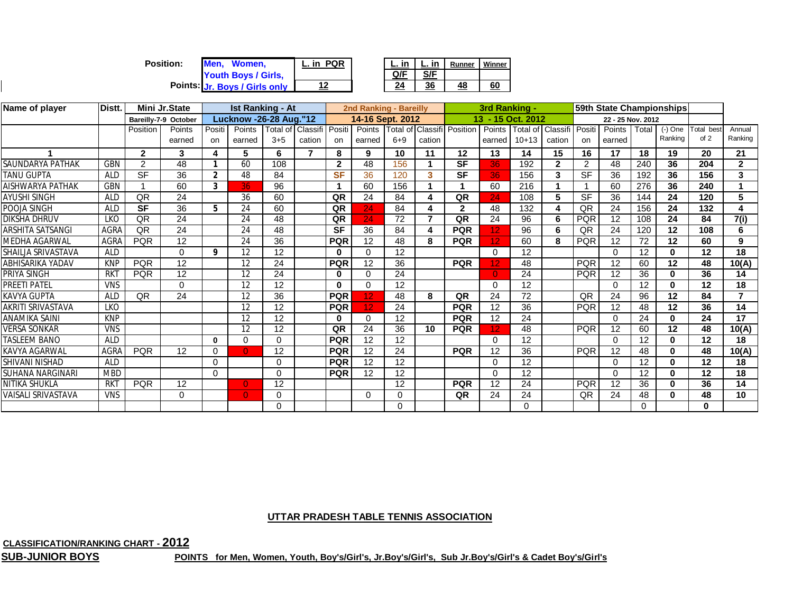| <b>Position:</b><br>Men. Women. | <b>PQR</b><br>∟. in ∶ | L. in | L. in | Runner | Winn |
|---------------------------------|-----------------------|-------|-------|--------|------|
| Youth Boys / Girls,             |                       | Q/F   | C/E   |        |      |
| Points: Jr. Boys / Girls only   |                       | 24    | 36    | 48     | 60   |

| Name of player           | Distt.     |                | Mini Jr.State        |                | <b>Ist Ranking - At</b>       |          |                 |                | 2nd Ranking - Bareilly |         |                |                                   | 3rd Ranking - |                   |                |                |                   |          | 59th State Championships |           |                   |
|--------------------------|------------|----------------|----------------------|----------------|-------------------------------|----------|-----------------|----------------|------------------------|---------|----------------|-----------------------------------|---------------|-------------------|----------------|----------------|-------------------|----------|--------------------------|-----------|-------------------|
|                          |            |                | Bareilly-7-9 October |                | <b>Lucknow -26-28 Aug."12</b> |          |                 |                | 14-16 Sept. 2012       |         |                |                                   |               | 13 - 15 Oct. 2012 |                |                | 22 - 25 Nov. 2012 |          |                          |           |                   |
|                          |            | Position       | Points               | Positi         | Points                        | Total of | Classifi Positi |                | Points                 |         |                | <b>Total of Classifi Position</b> | Points        | Total of          | Classifi       | Positi         | Points            | Total    | $(-)$ One                | Total bes | Annual            |
|                          |            |                | earned               | on             | earned                        | $3 + 5$  | cation          | on             | earned                 | $6 + 9$ | cation         |                                   | earned        | $10+13$           | cation         | on             | earned            |          | Ranking                  | of 2      | Ranking           |
|                          |            | $\mathbf{2}$   | 3                    | 4              | 5                             | 6        |                 | 8              | 9                      | 10      | 11             | 12                                | 13            | 14                | 15             | 16             | 17                | 18       | 19                       | 20        | 21                |
| SAUNDARYA PATHAK         | GBN        | $\overline{2}$ | 48                   |                | 60                            | 108      |                 | $\overline{2}$ | 48                     | 156     |                | <b>SF</b>                         | 36            | 192               | $\overline{2}$ | $\overline{2}$ | 48                | 240      | 36                       | 204       | $\overline{2}$    |
| TANU GUPTA               | <b>ALD</b> | <b>SF</b>      | 36                   | $\overline{2}$ | 48                            | 84       |                 | <b>SF</b>      | 36                     | 120     | 3              | <b>SF</b>                         | 36            | 156               | 3              | <b>SF</b>      | 36                | 192      | 36                       | 156       | 3                 |
| AISHWARYA PATHAK         | GBN        |                | 60                   | 3              | 36.                           | 96       |                 |                | 60                     | 156     |                |                                   | 60            | 216               |                |                | 60                | 276      | 36                       | 240       |                   |
| AYUSHI SINGH             | <b>ALD</b> | QR             | 24                   |                | 36                            | 60       |                 | QR             | 24                     | 84      | 4              | QR                                | 24            | 108               | 5              | <b>SF</b>      | 36                | 144      | 24                       | 120       | 5                 |
| POOJA SINGH              | <b>ALD</b> | <b>SF</b>      | 36                   | 5              | 24                            | 60       |                 | QR             | 24                     | 84      | 4              | $\mathbf{2}$                      | 48            | 132               | 4              | QR             | 24                | 156      | 24                       | 132       | 4                 |
| DIKSHA DHRUV             | <b>LKO</b> | QR             | 24                   |                | 24                            | 48       |                 | QR             | 24                     | 72      | $\overline{7}$ | QR                                | 24            | 96                | 6              | <b>PQR</b>     | 12                | 108      | 24                       | 84        | $\overline{7(i)}$ |
| ARSHITA SATSANGI         | AGRA       | QR             | $\overline{24}$      |                | 24                            | 48       |                 | <b>SF</b>      | 36                     | 84      | 4              | <b>PQR</b>                        |               | 96                | 6              | QR             | 24                | 120      | 12                       | 108       | 6                 |
| MEDHA AGARWAL            | AGRA       | <b>PQR</b>     | 12                   |                | 24                            | 36       |                 | <b>PQR</b>     | 12                     | 48      | 8              | <b>PQR</b>                        | 12            | 60                | 8              | <b>PQR</b>     | 12                | 72       | 12                       | 60        | 9                 |
| SHAILJA SRIVASTAVA       | <b>ALD</b> |                | $\Omega$             | 9              | 12                            | 12       |                 | $\bf{0}$       | 0                      | 12      |                |                                   | $\Omega$      | 12                |                |                | $\Omega$          | 12       | $\bf{0}$                 | 12        | 18                |
| ABHISARIKA YADAV         | <b>KNP</b> | <b>PQR</b>     | 12                   |                | 12                            | 24       |                 | <b>PQR</b>     | 12                     | 36      |                | <b>PQR</b>                        |               | 48                |                | <b>PQR</b>     | 12                | 60       | 12                       | 48        | 10(A)             |
| PRIYA SINGH              | <b>RKT</b> | <b>PQR</b>     | 12                   |                | 12                            | 24       |                 | $\bf{0}$       | $\Omega$               | 24      |                |                                   | $\Omega$      | 24                |                | <b>PQR</b>     | 12                | 36       | $\bf{0}$                 | 36        | 14                |
| PREETI PATEL             | <b>VNS</b> |                | $\Omega$             |                | 12                            | 12       |                 | $\mathbf{0}$   | 0                      | 12      |                |                                   | $\Omega$      | 12                |                |                | $\Omega$          | 12       | $\bf{0}$                 | 12        | 18                |
| KAVYA GUPTA              | <b>ALD</b> | QR             | $\overline{24}$      |                | 12                            | 36       |                 | <b>PQR</b>     | 12                     | 48      | 8              | QR                                | 24            | $\overline{72}$   |                | QR             | 24                | 96       | 12                       | 84        | 7                 |
| <b>AKRITI SRIVASTAVA</b> | <b>LKO</b> |                |                      |                | 12                            | 12       |                 | <b>PQR</b>     | 12 <sub>2</sub>        | 24      |                | <b>PQR</b>                        | 12            | 36                |                | <b>PQR</b>     | 12                | 48       | 12                       | 36        | 14                |
| ANAMIKA SAINI            | <b>KNP</b> |                |                      |                | 12                            | 12       |                 | $\mathbf{0}$   | 0                      | 12      |                | <b>PQR</b>                        | 12            | 24                |                |                | $\Omega$          | 24       | 0                        | 24        | 17                |
| <b>VERSA SONKAR</b>      | <b>VNS</b> |                |                      |                | 12                            | 12       |                 | QR             | 24                     | 36      | 10             | <b>PQR</b>                        | 12            | 48                |                | <b>PQR</b>     | 12                | 60       | 12                       | 48        | 10(A)             |
| <b>TASLEEM BANO</b>      | <b>ALD</b> |                |                      | $\mathbf{0}$   | $\Omega$                      | $\Omega$ |                 | <b>PQR</b>     | 12                     | 12      |                |                                   | $\Omega$      | 12                |                |                | $\Omega$          | 12       | $\mathbf{0}$             | $12 \,$   | 18                |
| KAVYA AGARWAL            | AGRA       | <b>PQR</b>     | 12                   | 0              | $\overline{0}$                | 12       |                 | <b>PQR</b>     | 12                     | 24      |                | <b>PQR</b>                        | 12            | 36                |                | <b>PQR</b>     | 12                | 48       | $\bf{0}$                 | 48        | 10(A)             |
| SHIVANI NISHAD           | <b>ALD</b> |                |                      | 0              |                               | $\Omega$ |                 | <b>PQR</b>     | 12                     | 12      |                |                                   | $\Omega$      | 12                |                |                | $\Omega$          | 12       | $\bf{0}$                 | 12        | 18                |
| SUHANA NARGINARI         | <b>MBD</b> |                |                      | $\Omega$       |                               | $\Omega$ |                 | <b>PQR</b>     | 12                     | 12      |                |                                   | $\Omega$      | 12                |                |                | $\Omega$          | 12       | $\bf{0}$                 | 12        | 18                |
| NITIKA SHUKLA            | <b>RKT</b> | <b>PQR</b>     | 12                   |                | $\mathbf{0}$                  | 12       |                 |                |                        | 12      |                | <b>PQR</b>                        | 12            | 24                |                | <b>PQR</b>     | 12                | 36       | 0                        | 36        | 14                |
| VAISALI SRIVASTAVA       | <b>VNS</b> |                | $\Omega$             |                | $\overline{0}$                | 0        |                 |                | $\Omega$               | 0       |                | QR                                | 24            | 24                |                | QR             | 24                | 48       | $\bf{0}$                 | 48        | 10                |
|                          |            |                |                      |                |                               | 0        |                 |                |                        | 0       |                |                                   |               | $\Omega$          |                |                |                   | $\Omega$ |                          | 0         |                   |

**LA Winner** 

## **UTTAR PRADESH TABLE TENNIS ASSOCIATION**

**CLASSIFICATION/RANKING CHART - 2012**

**SUB-JUNIOR BOYS**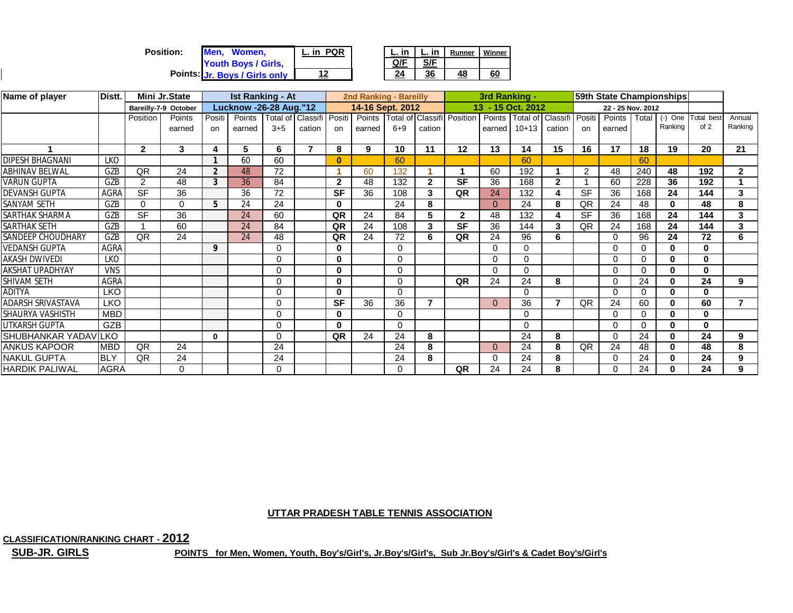| <b>Position:</b> | Men.<br>Women.                             | <b>PQR</b><br>$-$ in $\sim$ |     | in  | Runner | Winner |
|------------------|--------------------------------------------|-----------------------------|-----|-----|--------|--------|
|                  | Youth Boys / Girls,                        |                             | Q/F | S/F |        |        |
|                  | Points: <mark>Jr. Boys / Girls only</mark> |                             | 24  | 36  | 48     | 60     |

| Name of player           | Distt.<br><b>Mini Jr.State</b> |                          |                      |                | <b>Ist Ranking - At</b> |          |                          |              | 2nd Ranking - Bareilly |          |                |                                   | 3rd Ranking -     |          | 59th State Championships |           |                   |          |              |           |                |
|--------------------------|--------------------------------|--------------------------|----------------------|----------------|-------------------------|----------|--------------------------|--------------|------------------------|----------|----------------|-----------------------------------|-------------------|----------|--------------------------|-----------|-------------------|----------|--------------|-----------|----------------|
|                          |                                |                          | Bareilly-7-9 October |                | Lucknow -26-28 Aug."12  |          |                          |              | 14-16 Sept. 2012       |          |                |                                   | 13 - 15 Oct. 2012 |          |                          |           | 22 - 25 Nov. 2012 |          |              |           |                |
|                          |                                | Position                 | Points               | Positi         | Points                  | Total of | Classifi                 | Positi       | Points                 |          |                | <b>Total of Classifi Position</b> | Points            |          | Total of Classifi        | Positi    | Points            | Total    | $(-)$ One    | Total bes | Annual         |
|                          |                                |                          | earned               | on.            | earned                  | $3 + 5$  | cation                   | on           | earned                 | $6 + 9$  | cation         |                                   | earned            | $10+13$  | cation                   | on        | earned            |          | Ranking      | of 2      | Ranking        |
|                          |                                |                          |                      |                |                         |          |                          |              |                        |          |                |                                   |                   |          |                          |           |                   |          |              |           |                |
|                          |                                | $\overline{2}$           | 3                    | 4              | 5                       | 6        | $\overline{\phantom{a}}$ | 8            | 9                      | 10       | 11             | 12                                | 13                | 14       | 15                       | 16        | 17                | 18       | 19           | 20        | 21             |
| <b>DIPESH BHAGNANI</b>   | <b>LKO</b>                     |                          |                      |                | 60                      | 60       |                          | $\mathbf{0}$ |                        | 60       |                |                                   |                   | 60       |                          |           |                   | 60       |              |           |                |
| <b>ABHINAV BELWAL</b>    | GZB                            | QR                       | 24                   | $\overline{2}$ | 48                      | 72       |                          |              | 60                     | 132      |                |                                   | 60                | 192      |                          | 2         | 48                | 240      | 48           | 192       | $\mathbf{2}$   |
| <b>VARUN GUPTA</b>       | GZB                            | 2                        | 48                   | 3              | 36                      | 84       |                          | 2            | 48                     | 132      | $\mathbf{2}$   | <b>SF</b>                         | 36                | 168      | $\mathbf{2}$             |           | 60                | 228      | 36           | 192       |                |
| <b>DEVANSH GUPTA</b>     | AGRA                           | $\overline{\mathsf{SF}}$ | 36                   |                | 36                      | 72       |                          | <b>SF</b>    | 36                     | 108      | 3              | QR                                | 24                | 132      |                          | <b>SF</b> | 36                | 168      | 24           | 144       | 3              |
| SANYAM SETH              | GZB                            | 0                        | 0                    | 5              | 24                      | 24       |                          | 0            |                        | 24       | 8              |                                   | $\Omega$          | 24       | 8                        | QR        | 24                | 48       | $\bf{0}$     | 48        | 8              |
| <b>SARTHAK SHARMA</b>    | GZB                            | $\overline{\mathsf{SF}}$ | 36                   |                | 24                      | 60       |                          | QR           | 24                     | 84       | 5              | $\mathbf{2}$                      | 48                | 132      |                          | <b>SF</b> | 36                | 168      | 24           | 144       | 3              |
| SARTHAK SETH             | GZB                            |                          | 60                   |                | 24                      | 84       |                          | QR           | 24                     | 108      | 3              | <b>SF</b>                         | 36                | 144      | 3                        | QR        | 24                | 168      | 24           | 144       | 3              |
| <b>SANDEEP CHOUDHARY</b> | GZB                            | QR                       | 24                   |                | 24                      | 48       |                          | QR           | 24                     | 72       | 6              | QR                                | 24                | 96       | 6                        |           | $\Omega$          | 96       | 24           | 72        | 6              |
| <b>VEDANSH GUPTA</b>     | <b>AGRA</b>                    |                          |                      | 9              |                         | 0        |                          | 0            |                        | 0        |                |                                   | $\Omega$          | 0        |                          |           | 0                 | 0        | $\mathbf{0}$ | 0         |                |
| <b>AKASH DWIVEDI</b>     | LKO                            |                          |                      |                |                         | 0        |                          | 0            |                        | 0        |                |                                   | $\Omega$          | 0        |                          |           | $\Omega$          | $\Omega$ | $\bf{0}$     | 0         |                |
| <b>AKSHAT UPADHYAY</b>   | <b>VNS</b>                     |                          |                      |                |                         | 0        |                          | 0            |                        | 0        |                |                                   | $\Omega$          | ∩        |                          |           | $\Omega$          | $\Omega$ | $\bf{0}$     | 0         |                |
| <b>SHIVAM SETH</b>       | <b>AGRA</b>                    |                          |                      |                |                         | 0        |                          | $\bf{0}$     |                        | 0        |                | QR                                | 24                | 24       | 8                        |           | $\Omega$          | 24       | $\bf{0}$     | 24        | 9              |
| <b>ADITYA</b>            | <b>LKO</b>                     |                          |                      |                |                         | 0        |                          | 0            |                        | $\Omega$ |                |                                   |                   | $\Omega$ |                          |           | $\Omega$          | 0        | $\bf{0}$     | 0         |                |
| ADARSH SRIVASTAVA        | <b>LKO</b>                     |                          |                      |                |                         | $\Omega$ |                          | <b>SF</b>    | 36                     | 36       | $\overline{7}$ |                                   | $\Omega$          | 36       |                          | QR        | 24                | 60       | $\bf{0}$     | 60        | $\overline{7}$ |
| <b>SHAURYA VASHISTH</b>  | <b>MBD</b>                     |                          |                      |                |                         | 0        |                          | $\mathbf{0}$ |                        | 0        |                |                                   |                   | 0        |                          |           | 0                 | $\Omega$ | $\mathbf{0}$ | $\bf{0}$  |                |
| <b>UTKARSH GUPTA</b>     | GZB                            |                          |                      |                |                         | 0        |                          | 0            |                        | 0        |                |                                   |                   | ∩        |                          |           | 0                 | $\Omega$ | $\bf{0}$     | $\bf{0}$  |                |
| SHUBHANKAR YADAVLKO      |                                |                          |                      | $\bf{0}$       |                         | 0        |                          | QR           | 24                     | 24       | 8              |                                   |                   | 24       | 8                        |           | $\Omega$          | 24       | 0            | 24        | 9              |
| <b>ANKUS KAPOOR</b>      | <b>MBD</b>                     | QR                       | 24                   |                |                         | 24       |                          |              |                        | 24       | 8              |                                   | $\Omega$          | 24       | 8                        | QR        | 24                | 48       | $\bf{0}$     | 48        | 8              |
| <b>NAKUL GUPTA</b>       | <b>BLY</b>                     | QR                       | 24                   |                |                         | 24       |                          |              |                        | 24       | 8              |                                   | $\Omega$          | 24       | 8                        |           | $\Omega$          | 24       | 0            | 24        | 9              |
| <b>HARDIK PALIWAL</b>    | <b>AGRA</b>                    |                          | 0                    |                |                         | 0        |                          |              |                        | 0        |                | QR                                | 24                | 24       | 8                        |           | $\Omega$          | 24       | $\bf{0}$     | 24        | 9              |

**CLASSIFICATION/RANKING CHART - 2012**

**SUB-JR. GIRLS**

 $\mathsf{I}$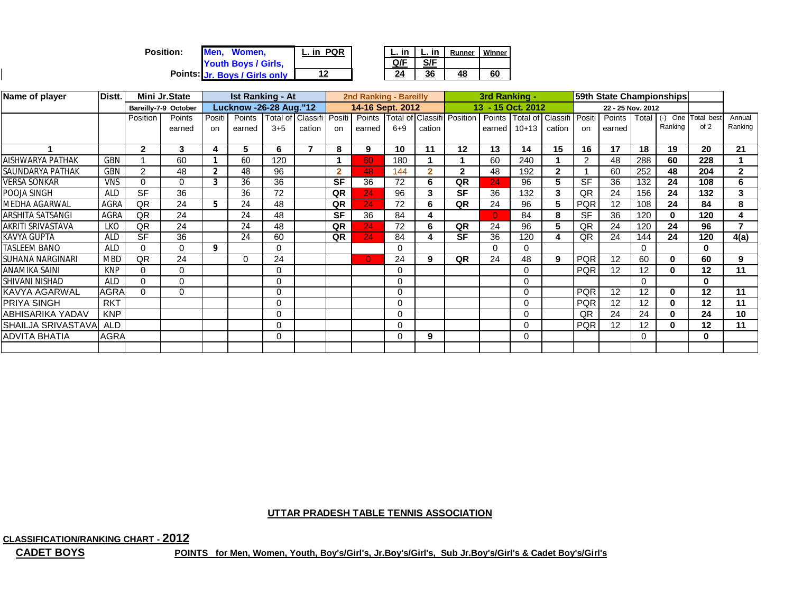| <b>Position:</b> | Men. Women.                   | L. in PQR |     | L. in | Runner | Winner |
|------------------|-------------------------------|-----------|-----|-------|--------|--------|
|                  | Youth Boys / Girls,           |           | Q/F | S/F   |        |        |
|                  | Points: Jr. Boys / Girls only | 12        | 24  | 36    | 48     | 60     |

| Name of player           | Distt.      |                | Mini Jr.State        |                | <b>Ist Ranking - At</b>       |          |                          |                | 2nd Ranking - Bareilly |          |                |                                       |        |                   | 59th State Championships |                |                   |                 |              |                |              |
|--------------------------|-------------|----------------|----------------------|----------------|-------------------------------|----------|--------------------------|----------------|------------------------|----------|----------------|---------------------------------------|--------|-------------------|--------------------------|----------------|-------------------|-----------------|--------------|----------------|--------------|
|                          |             |                | Bareilly-7-9 October |                | <b>Lucknow -26-28 Aug."12</b> |          |                          |                | 14-16 Sept. 2012       |          |                |                                       |        | 13 - 15 Oct. 2012 |                          |                | 22 - 25 Nov. 2012 |                 |              |                |              |
|                          |             | Position       | Points               | Positi         | Points                        |          | Total of Classifi Positi |                |                        |          |                | Points   Total of Classifi   Position | Points | Total of Classifi |                          | Positi         | Points            | Total           | $(\text{-})$ | One Total best | Annual       |
|                          |             |                | earned               | on             | earned                        | $3 + 5$  | cation                   | on             | earned                 | $6 + 9$  | cation         |                                       | earned | $10+13$           | cation                   | on             | earned            |                 | Ranking      | of 2           | Ranking      |
|                          |             |                |                      |                |                               |          |                          |                |                        |          |                |                                       |        |                   |                          |                |                   |                 |              |                |              |
|                          |             | $\mathbf{2}$   | 3                    | 4              | 5                             | 6        | $\overline{\phantom{a}}$ | 8              | 9                      | 10       | 11             | 12                                    | 13     | 14                | 15                       | 16             | 17                | 18              | 19           | 20             | 21           |
| AISHWARYA PATHAK         | <b>GBN</b>  |                | 60                   |                | 60                            | 120      |                          |                | 60                     | 180      |                |                                       | 60     | 240               |                          | $\overline{2}$ | 48                | 288             | 60           | 228            |              |
| SAUNDARYA PATHAK         | GBN         | $\overline{2}$ | 48                   | $\overline{2}$ | 48                            | 96       |                          | $\overline{2}$ | 48                     | 144      | $\overline{2}$ | $\mathbf{2}$                          | 48     | 192               | $\mathbf{2}$             |                | 60                | 252             | 48           | 204            | $\mathbf{2}$ |
| <b>VERSA SONKAR</b>      | <b>VNS</b>  | 0              | $\Omega$             | 3              | 36                            | 36       |                          | <b>SF</b>      | 36                     | 72       | 6              | QR                                    | 24     | 96                | 5.                       | <b>SF</b>      | 36                | 132             | 24           | 108            | 6            |
| POOJA SINGH              | <b>ALD</b>  | <b>SF</b>      | 36                   |                | 36                            | 72       |                          | QR             | 24                     | 96       | 3              | <b>SF</b>                             | 36     | 132               | 3                        | QR             | 24                | 156             | 24           | 132            | 3            |
| <b>MEDHA AGARWAL</b>     | AGRA        | QR             | 24                   | 5              | 24                            | 48       |                          | QR             | 24                     | 72       | 6              | QR                                    | 24     | 96                | 5.                       | <b>PQR</b>     | 12                | 108             | 24           | 84             | 8            |
| <b>ARSHITA SATSANGI</b>  | <b>AGRA</b> | QR             | 24                   |                | 24                            | 48       |                          | <b>SF</b>      | 36                     | 84       | 4              |                                       |        | 84                | 8                        | <b>SF</b>      | 36                | 120             | 0            | 120            | 4            |
| <b>AKRITI SRIVASTAVA</b> | LKO         | QR             | 24                   |                | 24                            | 48       |                          | QR             | 24                     | 72       | 6              | QR                                    | 24     | 96                | 5.                       | QR             | 24                | 120             | 24           | 96             | 7            |
| <b>KAVYA GUPTA</b>       | <b>ALD</b>  | <b>SF</b>      | 36                   |                | 24                            | 60       |                          | QR             | 24                     | 84       | 4              | <b>SF</b>                             | 36     | 120               |                          | QR             | 24                | 144             | 24           | 120            | 4(a)         |
| <b>TASLEEM BANO</b>      | <b>ALD</b>  | 0              | 0                    | 9              |                               | $\Omega$ |                          |                |                        | $\Omega$ |                |                                       | O      |                   |                          |                |                   | $\Omega$        |              | O              |              |
| <b>SUHANA NARGINARI</b>  | <b>MBD</b>  | QR             | 24                   |                | 0                             | 24       |                          |                | $\overline{0}$         | 24       | 9              | QR                                    | 24     | 48                | 9                        | <b>PQR</b>     | 12                | 60              | 0            | 60             | 9            |
| ANAMIKA SAINI            | <b>KNP</b>  | 0              | $\Omega$             |                |                               | 0        |                          |                |                        | 0        |                |                                       |        | $\Omega$          |                          | <b>PQR</b>     | 12                | 12              | $\bf{0}$     | 12             | 11           |
| SHIVANI NISHAD           | <b>ALD</b>  | 0              | 0                    |                |                               | 0        |                          |                |                        | $\Omega$ |                |                                       |        | $\Omega$          |                          |                |                   | $\Omega$        |              | O              |              |
| <b>KAVYA AGARWAL</b>     | AGRA        | 0              | $\Omega$             |                |                               | 0        |                          |                |                        | $\Omega$ |                |                                       |        | $\Omega$          |                          | <b>PQR</b>     | 12                | 12              | $\mathbf{0}$ | $12 \,$        | 11           |
| <b>PRIYA SINGH</b>       | <b>RKT</b>  |                |                      |                |                               | 0        |                          |                |                        | $\Omega$ |                |                                       |        | $\cap$            |                          | <b>PQR</b>     | 12                | 12              | 0            | 12             | 11           |
| <b>ABHISARIKA YADAV</b>  | <b>KNP</b>  |                |                      |                |                               | 0        |                          |                |                        | 0        |                |                                       |        | 0                 |                          | QR             | 24                | $\overline{24}$ | 0            | 24             | 10           |
| SHAILJA SRIVASTAVA ALD   |             |                |                      |                |                               | $\Omega$ |                          |                |                        | $\Omega$ |                |                                       |        | $\Omega$          |                          | <b>PQR</b>     | 12                | 12              | $\mathbf{0}$ | 12             | 11           |
| <b>ADVITA BHATIA</b>     | <b>AGRA</b> |                |                      |                |                               | 0        |                          |                |                        | $\Omega$ | 9              |                                       |        | 0                 |                          |                |                   | $\Omega$        |              | 0              |              |
|                          |             |                |                      |                |                               |          |                          |                |                        |          |                |                                       |        |                   |                          |                |                   |                 |              |                |              |

**CLASSIFICATION/RANKING CHART - 2012**

**CADET BOYS**

 $\mathsf{I}$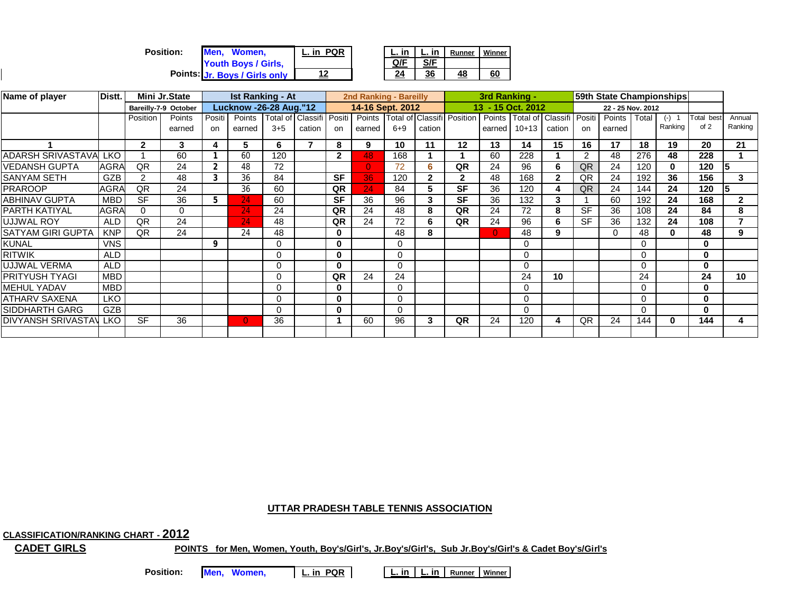| <b>Position:</b><br>Men. Women. | <b>PQR</b><br>in | L. in | in  | Runner | Winner |
|---------------------------------|------------------|-------|-----|--------|--------|
| Youth Boys / Girls,             |                  | Q/F   | S/F |        |        |
| Points: Jr. Boys / Girls only   | 12               | 24    | 36  | 48     | 60     |

| Name of player           | Distt.     | Mini Jr.State |                      | <b>Ist Ranking - At</b> |                               |          |                 | 2nd Ranking - Bareilly |                  |          |              | 59th State Championships          |                   |          |                   |                |                   |          |              |           |              |
|--------------------------|------------|---------------|----------------------|-------------------------|-------------------------------|----------|-----------------|------------------------|------------------|----------|--------------|-----------------------------------|-------------------|----------|-------------------|----------------|-------------------|----------|--------------|-----------|--------------|
|                          |            |               | Bareilly-7-9 October |                         | <b>Lucknow -26-28 Aug."12</b> |          |                 |                        | 14-16 Sept. 2012 |          |              |                                   | 13 - 15 Oct. 2012 |          |                   |                | 22 - 25 Nov. 2012 |          |              |           |              |
|                          |            | Position      | Points               | Positi                  | Points                        | Total of | Classifi Positi |                        |                  |          |              | Points Total of Classifi Position | Points            |          | Total of Classifi | Positi         | Points            | Total    | $(-)$        | Total bes | Annual       |
|                          |            |               | earned               | on                      | earned                        | $3 + 5$  | cation          | on                     | earned           | $6 + 9$  | cation       |                                   | earned            | $10+13$  | cation            | on.            | earned            |          | Ranking      | of 2      | Ranking      |
|                          |            | $\mathbf{2}$  | 3                    | 4                       | 5                             | 6        |                 | 8                      | 9                | 10       | 11           | 12                                | 13                | 14       | 15                | 16             | 17                | 18       | 19           | 20        | 21           |
| ADARSH SRIVASTAVALLKO    |            |               | 60                   |                         | 60                            | 120      |                 | $\mathbf{2}$           | 48               | 168      |              |                                   | 60                | 228      |                   | $\overline{2}$ | 48                | 276      | 48           | 228       |              |
| VEDANSH GUPTA            | AGRA       | QR            | 24                   | $\overline{2}$          | 48                            | 72       |                 |                        | $\Omega$         | 72       | 6            | QR                                | 24                | 96       | 6                 | QR             | 24                | 120      | 0            | 120       | 15           |
| <b>SANYAM SETH</b>       | GZB        | 2             | 48                   |                         | 36                            | 84       |                 | <b>SF</b>              | 36               | 120      | $\mathbf{2}$ | 2                                 | 48                | 168      | 2                 | QR             | 24                | 192      | 36           | 156       | 3            |
| <b>PRAROOP</b>           | AGRA       | QR            | 24                   |                         | 36                            | 60       |                 | QR                     | 24               | 84       | 5            | <b>SF</b>                         | 36                | 120      |                   | QR             | 24                | 144      | 24           | 120       | 15           |
| <b>ABHINAV GUPTA</b>     | <b>MBD</b> | <b>SF</b>     | 36                   |                         | 24                            | 60       |                 | <b>SF</b>              | 36               | 96       | 3            | <b>SF</b>                         | 36                | 132      | 3                 |                | 60                | 192      | 24           | 168       | $\mathbf{2}$ |
| <b>PARTH KATIYAL</b>     | AGRA       | 0             | $\Omega$             |                         | 24                            | 24       |                 | QR                     | 24               | 48       | 8            | QR                                | 24                | 72       | 8                 | <b>SF</b>      | 36                | 108      | 24           | 84        | 8            |
| <b>UJJWAL ROY</b>        | <b>ALD</b> | QR            | 24                   |                         | 24                            | 48       |                 | QR                     | 24               | 72       | 6            | QR                                | 24                | 96       | 6                 | <b>SF</b>      | 36                | 132      | 24           | 108       |              |
| <b>SATYAM GIRI GUPTA</b> | <b>KNP</b> | QR            | 24                   |                         | 24                            | 48       |                 | 0                      |                  | 48       | 8            |                                   | $\Omega$          | 48       | 9                 |                | $\Omega$          | 48       | $\mathbf{0}$ | 48        | 9            |
| <b>KUNAL</b>             | <b>VNS</b> |               |                      | 9                       |                               | $\Omega$ |                 | 0                      |                  | 0        |              |                                   |                   | $\Omega$ |                   |                |                   | $\Omega$ |              | $\Omega$  |              |
| <b>RITWIK</b>            | <b>ALD</b> |               |                      |                         |                               | 0        |                 | 0                      |                  | $\Omega$ |              |                                   |                   | 0        |                   |                |                   | $\Omega$ |              | $\bf{0}$  |              |
| UJJWAL VERMA             | <b>ALD</b> |               |                      |                         |                               | 0        |                 | 0                      |                  | 0        |              |                                   |                   | $\Omega$ |                   |                |                   | $\Omega$ |              | $\Omega$  |              |
| IPRITYUSH TYAGI          | <b>MBD</b> |               |                      |                         |                               | $\Omega$ |                 | QR                     | 24               | 24       |              |                                   |                   | 24       | 10                |                |                   | 24       |              | 24        | 10           |
| <b>MEHUL YADAV</b>       | <b>MBD</b> |               |                      |                         |                               | 0        |                 | 0                      |                  | $\Omega$ |              |                                   |                   | $\Omega$ |                   |                |                   | $\Omega$ |              | $\bf{0}$  |              |
| <b>ATHARV SAXENA</b>     | <b>LKO</b> |               |                      |                         |                               | 0        |                 | 0                      |                  |          |              |                                   |                   |          |                   |                |                   | $\Omega$ |              | 0         |              |
| <b>SIDDHARTH GARG</b>    | GZB        |               |                      |                         |                               | $\Omega$ |                 | 0                      |                  | ∩        |              |                                   |                   | $\Omega$ |                   |                |                   | $\Omega$ |              | $\bf{0}$  |              |
| DIVYANSH SRIVASTAV       | <b>LKO</b> | <b>SF</b>     | 36                   |                         | $\overline{0}$                | 36       |                 |                        | 60               | 96       | 3            | QR                                | 24                | 120      | 4                 | QR             | 24                | 144      | 0            | 144       | 4            |
|                          |            |               |                      |                         |                               |          |                 |                        |                  |          |              |                                   |                   |          |                   |                |                   |          |              |           |              |

**CLASSIFICATION/RANKING CHART - 2012**

**CADET GIRLS**

**POINTS for Men, Women, Youth, Boy's/Girl's, Jr.Boy's/Girl's, Sub Jr.Boy's/Girl's & Cadet Boy's/Girl's**

Position: Men, Women, L. in PQR

**L. in L. in Runner Winner**